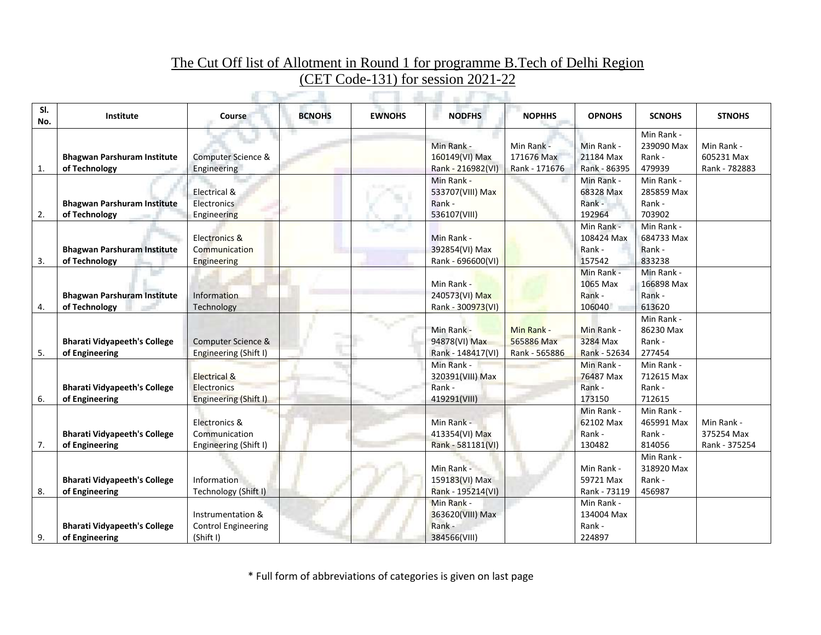## The Cut Off list of Allotment in Round 1 for programme B.Tech of Delhi Region (CET Code-131) for session 2021-22  $\mathbb{C}$  .  $\mathbb{C}$  and  $\mathbb{C}$  and  $\mathbb{C}$  and  $\mathbb{C}$  and  $\mathbb{C}$  and  $\mathbb{C}$  and  $\mathbb{C}$  and  $\mathbb{C}$  and  $\mathbb{C}$  and  $\mathbb{C}$  and  $\mathbb{C}$  and  $\mathbb{C}$  and  $\mathbb{C}$  and  $\mathbb{C}$  and  $\mathbb{C}$  and  $\mathbb{C}$  and  $\$

| SI.<br>No. | Institute                                             | <b>Course</b>                                                          | <b>BCNOHS</b> | <b>EWNOHS</b> | <b>NODFHS</b>                                            | <b>NOPHHS</b>                             | <b>OPNOHS</b>                                | <b>SCNOHS</b>                                | <b>STNOHS</b>                             |
|------------|-------------------------------------------------------|------------------------------------------------------------------------|---------------|---------------|----------------------------------------------------------|-------------------------------------------|----------------------------------------------|----------------------------------------------|-------------------------------------------|
| 1.         | <b>Bhagwan Parshuram Institute</b><br>of Technology   | Computer Science &<br>Engineering                                      |               |               | Min Rank -<br>160149(VI) Max<br>Rank - 216982(VI)        | Min Rank -<br>171676 Max<br>Rank - 171676 | Min Rank -<br>21184 Max<br>Rank - 86395      | Min Rank -<br>239090 Max<br>Rank -<br>479939 | Min Rank -<br>605231 Max<br>Rank - 782883 |
| 2.         | <b>Bhagwan Parshuram Institute</b><br>of Technology   | Electrical &<br><b>Electronics</b><br>Engineering                      |               |               | Min Rank -<br>533707(VIII) Max<br>Rank -<br>536107(VIII) |                                           | Min Rank -<br>68328 Max<br>Rank -<br>192964  | Min Rank -<br>285859 Max<br>Rank -<br>703902 |                                           |
| 3.         | <b>Bhagwan Parshuram Institute</b><br>of Technology   | <b>Electronics &amp;</b><br>Communication<br>Engineering               |               |               | Min Rank -<br>392854(VI) Max<br>Rank - 696600(VI)        |                                           | Min Rank -<br>108424 Max<br>Rank -<br>157542 | Min Rank -<br>684733 Max<br>Rank -<br>833238 |                                           |
| 4.         | <b>Bhagwan Parshuram Institute</b><br>of Technology   | Information<br>Technology                                              |               |               | Min Rank -<br>240573(VI) Max<br>Rank - 300973(VI)        |                                           | Min Rank -<br>1065 Max<br>Rank -<br>106040   | Min Rank -<br>166898 Max<br>Rank -<br>613620 |                                           |
| 5.         | <b>Bharati Vidyapeeth's College</b><br>of Engineering | Computer Science &<br>Engineering (Shift I)                            |               |               | Min Rank -<br>94878(VI) Max<br>Rank - 148417(VI)         | Min Rank -<br>565886 Max<br>Rank - 565886 | Min Rank -<br>3284 Max<br>Rank - 52634       | Min Rank -<br>86230 Max<br>Rank -<br>277454  |                                           |
| 6.         | <b>Bharati Vidyapeeth's College</b><br>of Engineering | <b>Electrical &amp;</b><br><b>Electronics</b><br>Engineering (Shift I) |               |               | Min Rank -<br>320391(VIII) Max<br>Rank -<br>419291(VIII) |                                           | Min Rank -<br>76487 Max<br>Rank -<br>173150  | Min Rank -<br>712615 Max<br>Rank -<br>712615 |                                           |
| 7.         | <b>Bharati Vidyapeeth's College</b><br>of Engineering | Electronics &<br>Communication<br>Engineering (Shift I)                |               |               | Min Rank -<br>413354(VI) Max<br>Rank - 581181(VI)        |                                           | Min Rank -<br>62102 Max<br>Rank -<br>130482  | Min Rank -<br>465991 Max<br>Rank -<br>814056 | Min Rank -<br>375254 Max<br>Rank - 375254 |
| 8.         | <b>Bharati Vidyapeeth's College</b><br>of Engineering | Information<br>Technology (Shift I)                                    |               |               | Min Rank -<br>159183(VI) Max<br>Rank - 195214(VI)        |                                           | Min Rank -<br>59721 Max<br>Rank - 73119      | Min Rank -<br>318920 Max<br>Rank -<br>456987 |                                           |
| 9.         | <b>Bharati Vidyapeeth's College</b><br>of Engineering | Instrumentation &<br><b>Control Engineering</b><br>(Shift I)           |               |               | Min Rank -<br>363620(VIII) Max<br>Rank -<br>384566(VIII) |                                           | Min Rank -<br>134004 Max<br>Rank -<br>224897 |                                              |                                           |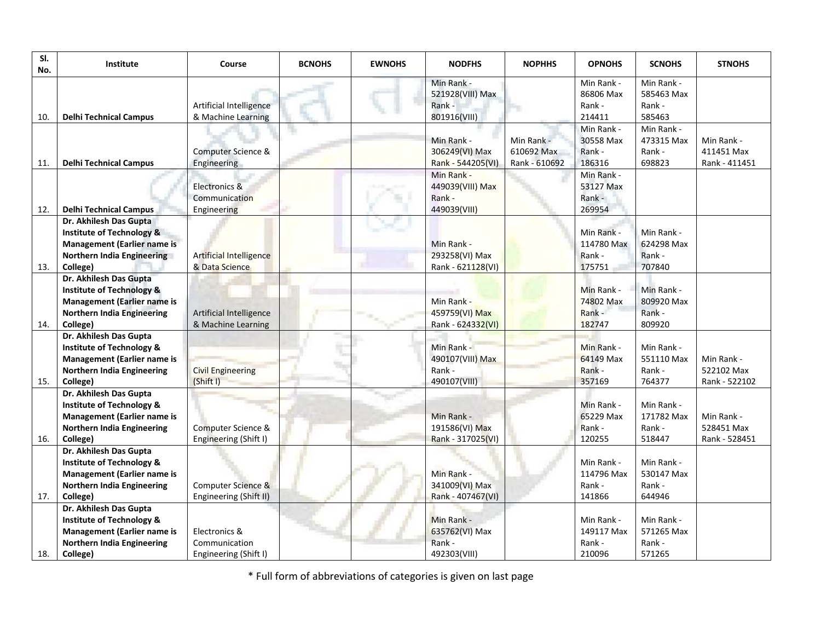| SI.<br>No. | Institute                                                                                                                                             | Course                                                  | <b>BCNOHS</b> | <b>EWNOHS</b> | <b>NODFHS</b>                                            | <b>NOPHHS</b>                             | <b>OPNOHS</b>                                | <b>SCNOHS</b>                                | <b>STNOHS</b>                             |
|------------|-------------------------------------------------------------------------------------------------------------------------------------------------------|---------------------------------------------------------|---------------|---------------|----------------------------------------------------------|-------------------------------------------|----------------------------------------------|----------------------------------------------|-------------------------------------------|
| 10.        | <b>Delhi Technical Campus</b>                                                                                                                         | Artificial Intelligence<br>& Machine Learning           |               |               | Min Rank -<br>521928(VIII) Max<br>Rank -<br>801916(VIII) |                                           | Min Rank -<br>86806 Max<br>Rank -<br>214411  | Min Rank -<br>585463 Max<br>Rank -<br>585463 |                                           |
| 11.        | <b>Delhi Technical Campus</b>                                                                                                                         | Computer Science &<br>Engineering                       |               |               | Min Rank -<br>306249(VI) Max<br>Rank - 544205(VI)        | Min Rank -<br>610692 Max<br>Rank - 610692 | Min Rank -<br>30558 Max<br>Rank -<br>186316  | Min Rank -<br>473315 Max<br>Rank -<br>698823 | Min Rank -<br>411451 Max<br>Rank - 411451 |
| 12.        | <b>Delhi Technical Campus</b>                                                                                                                         | Electronics &<br>Communication<br>Engineering           |               |               | Min Rank -<br>449039(VIII) Max<br>Rank -<br>449039(VIII) |                                           | Min Rank -<br>53127 Max<br>Rank -<br>269954  |                                              |                                           |
| 13.        | Dr. Akhilesh Das Gupta<br><b>Institute of Technology &amp;</b><br><b>Management (Earlier name is</b><br>Northern India Engineering<br>College)        | Artificial Intelligence<br>& Data Science               |               |               | Min Rank -<br>293258(VI) Max<br>Rank - 621128(VI)        |                                           | Min Rank -<br>114780 Max<br>Rank -<br>175751 | Min Rank -<br>624298 Max<br>Rank -<br>707840 |                                           |
| 14.        | Dr. Akhilesh Das Gupta<br><b>Institute of Technology &amp;</b><br><b>Management (Earlier name is</b><br><b>Northern India Engineering</b><br>College) | <b>Artificial Intelligence</b><br>& Machine Learning    |               |               | Min Rank -<br>459759(VI) Max<br>Rank - 624332(VI)        |                                           | Min Rank -<br>74802 Max<br>Rank -<br>182747  | Min Rank -<br>809920 Max<br>Rank -<br>809920 |                                           |
| 15.        | Dr. Akhilesh Das Gupta<br><b>Institute of Technology &amp;</b><br><b>Management (Earlier name is</b><br>Northern India Engineering<br>College)        | <b>Civil Engineering</b><br>(Shift I)                   |               |               | Min Rank -<br>490107(VIII) Max<br>Rank -<br>490107(VIII) |                                           | Min Rank -<br>64149 Max<br>Rank -<br>357169  | Min Rank -<br>551110 Max<br>Rank -<br>764377 | Min Rank -<br>522102 Max<br>Rank - 522102 |
| 16.        | Dr. Akhilesh Das Gupta<br><b>Institute of Technology &amp;</b><br><b>Management (Earlier name is</b><br>Northern India Engineering<br>College)        | Computer Science &<br>Engineering (Shift I)             |               |               | Min Rank -<br>191586(VI) Max<br>Rank - 317025(VI)        |                                           | Min Rank -<br>65229 Max<br>Rank -<br>120255  | Min Rank -<br>171782 Max<br>Rank -<br>518447 | Min Rank -<br>528451 Max<br>Rank - 528451 |
| 17.        | Dr. Akhilesh Das Gupta<br><b>Institute of Technology &amp;</b><br><b>Management (Earlier name is</b><br>Northern India Engineering<br>College)        | Computer Science &<br>Engineering (Shift II)            |               |               | Min Rank -<br>341009(VI) Max<br>Rank - 407467(VI)        |                                           | Min Rank -<br>114796 Max<br>Rank -<br>141866 | Min Rank -<br>530147 Max<br>Rank -<br>644946 |                                           |
| 18.        | Dr. Akhilesh Das Gupta<br><b>Institute of Technology &amp;</b><br><b>Management (Earlier name is</b><br>Northern India Engineering<br>College)        | Electronics &<br>Communication<br>Engineering (Shift I) |               |               | Min Rank -<br>635762(VI) Max<br>Rank -<br>492303(VIII)   |                                           | Min Rank -<br>149117 Max<br>Rank -<br>210096 | Min Rank -<br>571265 Max<br>Rank -<br>571265 |                                           |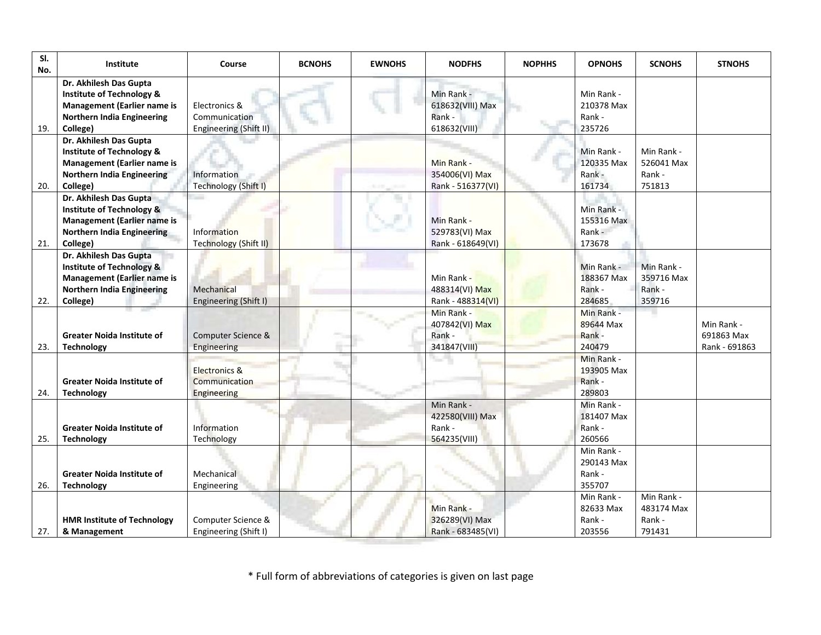| SI.<br>No. | Institute                                                                                                                                             | Course                                                   | <b>BCNOHS</b> | <b>EWNOHS</b> | <b>NODFHS</b>                                            | <b>NOPHHS</b> | <b>OPNOHS</b>                                | <b>SCNOHS</b>                                | <b>STNOHS</b>                             |
|------------|-------------------------------------------------------------------------------------------------------------------------------------------------------|----------------------------------------------------------|---------------|---------------|----------------------------------------------------------|---------------|----------------------------------------------|----------------------------------------------|-------------------------------------------|
| 19.        | Dr. Akhilesh Das Gupta<br><b>Institute of Technology &amp;</b><br><b>Management (Earlier name is</b><br>Northern India Engineering<br>College)        | Electronics &<br>Communication<br>Engineering (Shift II) |               |               | Min Rank -<br>618632(VIII) Max<br>Rank -<br>618632(VIII) |               | Min Rank -<br>210378 Max<br>Rank -<br>235726 |                                              |                                           |
| 20.        | Dr. Akhilesh Das Gupta<br><b>Institute of Technology &amp;</b><br><b>Management (Earlier name is</b><br>Northern India Engineering<br>College)        | <b>Information</b><br>Technology (Shift I)               |               |               | Min Rank -<br>354006(VI) Max<br>Rank - 516377(VI)        |               | Min Rank -<br>120335 Max<br>Rank -<br>161734 | Min Rank -<br>526041 Max<br>Rank -<br>751813 |                                           |
| 21.        | Dr. Akhilesh Das Gupta<br><b>Institute of Technology &amp;</b><br><b>Management (Earlier name is</b><br><b>Northern India Engineering</b><br>College) | <b>Information</b><br>Technology (Shift II)              |               |               | Min Rank -<br>529783(VI) Max<br>Rank - 618649(VI)        |               | Min Rank -<br>155316 Max<br>Rank -<br>173678 |                                              |                                           |
| 22.        | Dr. Akhilesh Das Gupta<br><b>Institute of Technology &amp;</b><br><b>Management (Earlier name is</b><br><b>Northern India Engineering</b><br>College) | Mechanical<br>Engineering (Shift I)                      |               |               | Min Rank -<br>488314(VI) Max<br>Rank - 488314(VI)        |               | Min Rank -<br>188367 Max<br>Rank -<br>284685 | Min Rank -<br>359716 Max<br>Rank -<br>359716 |                                           |
| 23.        | <b>Greater Noida Institute of</b><br><b>Technology</b>                                                                                                | Computer Science &<br>Engineering                        |               |               | Min Rank -<br>407842(VI) Max<br>Rank -<br>341847(VIII)   |               | Min Rank -<br>89644 Max<br>Rank -<br>240479  |                                              | Min Rank -<br>691863 Max<br>Rank - 691863 |
| 24.        | <b>Greater Noida Institute of</b><br><b>Technology</b>                                                                                                | <b>Electronics &amp;</b><br>Communication<br>Engineering |               |               |                                                          |               | Min Rank -<br>193905 Max<br>Rank -<br>289803 |                                              |                                           |
| 25.        | <b>Greater Noida Institute of</b><br><b>Technology</b>                                                                                                | Information<br>Technology                                |               |               | Min Rank -<br>422580(VIII) Max<br>Rank -<br>564235(VIII) |               | Min Rank -<br>181407 Max<br>Rank -<br>260566 |                                              |                                           |
| 26.        | <b>Greater Noida Institute of</b><br><b>Technology</b>                                                                                                | Mechanical<br>Engineering                                |               |               |                                                          |               | Min Rank -<br>290143 Max<br>Rank -<br>355707 |                                              |                                           |
| 27.        | <b>HMR Institute of Technology</b><br>& Management                                                                                                    | Computer Science &<br>Engineering (Shift I)              |               |               | Min Rank -<br>326289(VI) Max<br>Rank - 683485(VI)        |               | Min Rank -<br>82633 Max<br>Rank -<br>203556  | Min Rank -<br>483174 Max<br>Rank -<br>791431 |                                           |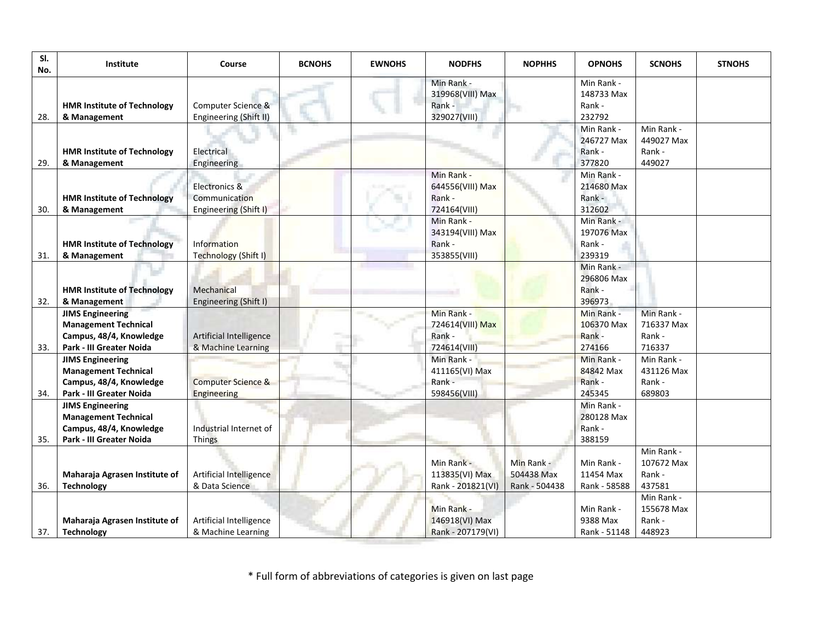| SI.<br>No. | Institute                                                                                                     | Course                                                         | <b>BCNOHS</b> | <b>EWNOHS</b> | <b>NODFHS</b>                                            | <b>NOPHHS</b>                             | <b>OPNOHS</b>                                | <b>SCNOHS</b>                                | <b>STNOHS</b> |
|------------|---------------------------------------------------------------------------------------------------------------|----------------------------------------------------------------|---------------|---------------|----------------------------------------------------------|-------------------------------------------|----------------------------------------------|----------------------------------------------|---------------|
| 28.        | <b>HMR Institute of Technology</b><br>& Management                                                            | Computer Science &<br>Engineering (Shift II)                   |               |               | Min Rank -<br>319968(VIII) Max<br>Rank -<br>329027(VIII) |                                           | Min Rank -<br>148733 Max<br>Rank -<br>232792 |                                              |               |
| 29.        | <b>HMR Institute of Technology</b><br>& Management                                                            | Electrical<br>Engineering                                      |               |               |                                                          |                                           | Min Rank -<br>246727 Max<br>Rank -<br>377820 | Min Rank -<br>449027 Max<br>Rank -<br>449027 |               |
| 30.        | <b>HMR Institute of Technology</b><br>& Management                                                            | Electronics &<br><b>Communication</b><br>Engineering (Shift I) |               |               | Min Rank -<br>644556(VIII) Max<br>Rank -<br>724164(VIII) |                                           | Min Rank -<br>214680 Max<br>Rank -<br>312602 |                                              |               |
| 31.        | <b>HMR Institute of Technology</b><br>& Management                                                            | Information<br>Technology (Shift I)                            |               |               | Min Rank -<br>343194(VIII) Max<br>Rank -<br>353855(VIII) |                                           | Min Rank -<br>197076 Max<br>Rank -<br>239319 |                                              |               |
| 32.        | <b>HMR Institute of Technology</b><br>& Management                                                            | Mechanical<br>Engineering (Shift I)                            |               |               |                                                          |                                           | Min Rank -<br>296806 Max<br>Rank -<br>396973 |                                              |               |
| 33.        | <b>JIMS Engineering</b><br><b>Management Technical</b><br>Campus, 48/4, Knowledge<br>Park - III Greater Noida | Artificial Intelligence<br>& Machine Learning                  |               |               | Min Rank -<br>724614(VIII) Max<br>Rank -<br>724614(VIII) |                                           | Min Rank -<br>106370 Max<br>Rank -<br>274166 | Min Rank -<br>716337 Max<br>Rank -<br>716337 |               |
| 34.        | <b>JIMS Engineering</b><br><b>Management Technical</b><br>Campus, 48/4, Knowledge<br>Park - III Greater Noida | <b>Computer Science &amp;</b><br>Engineering                   |               |               | Min Rank -<br>411165(VI) Max<br>Rank -<br>598456(VIII)   |                                           | Min Rank -<br>84842 Max<br>Rank -<br>245345  | Min Rank -<br>431126 Max<br>Rank -<br>689803 |               |
| 35.        | <b>JIMS Engineering</b><br><b>Management Technical</b><br>Campus, 48/4, Knowledge<br>Park - III Greater Noida | Industrial Internet of<br><b>Things</b>                        |               |               |                                                          |                                           | Min Rank -<br>280128 Max<br>Rank -<br>388159 |                                              |               |
| 36.        | Maharaja Agrasen Institute of<br><b>Technology</b>                                                            | Artificial Intelligence<br>& Data Science                      |               |               | Min Rank -<br>113835(VI) Max<br>Rank - 201821(VI)        | Min Rank -<br>504438 Max<br>Rank - 504438 | Min Rank -<br>11454 Max<br>Rank - 58588      | Min Rank -<br>107672 Max<br>Rank -<br>437581 |               |
| 37.        | Maharaja Agrasen Institute of<br><b>Technology</b>                                                            | Artificial Intelligence<br>& Machine Learning                  |               |               | Min Rank -<br>146918(VI) Max<br>Rank - 207179(VI)        |                                           | Min Rank -<br>9388 Max<br>Rank - 51148       | Min Rank -<br>155678 Max<br>Rank -<br>448923 |               |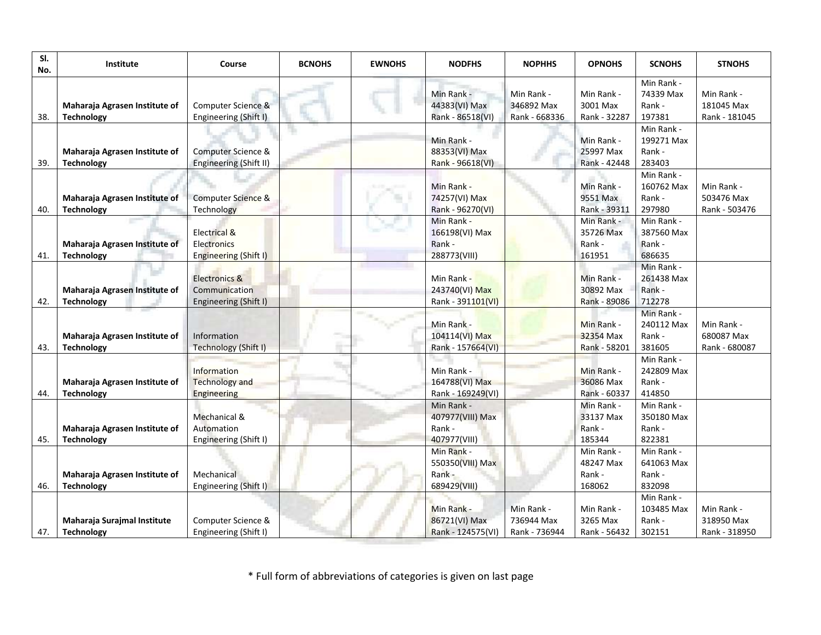| SI.<br>No. | <b>Institute</b>                                   | Course                                                             | <b>BCNOHS</b> | <b>EWNOHS</b> | <b>NODFHS</b>                                            | <b>NOPHHS</b>                             | <b>OPNOHS</b>                               | <b>SCNOHS</b>                                | <b>STNOHS</b>                             |
|------------|----------------------------------------------------|--------------------------------------------------------------------|---------------|---------------|----------------------------------------------------------|-------------------------------------------|---------------------------------------------|----------------------------------------------|-------------------------------------------|
| 38.        | Maharaja Agrasen Institute of<br><b>Technology</b> | Computer Science &<br>Engineering (Shift I)                        |               |               | Min Rank -<br>44383(VI) Max<br>Rank - 86518(VI)          | Min Rank -<br>346892 Max<br>Rank - 668336 | Min Rank -<br>3001 Max<br>Rank - 32287      | Min Rank -<br>74339 Max<br>Rank -<br>197381  | Min Rank -<br>181045 Max<br>Rank - 181045 |
| 39.        | Maharaja Agrasen Institute of<br><b>Technology</b> | Computer Science &<br>Engineering (Shift II)                       |               |               | Min Rank -<br>88353(VI) Max<br>Rank - 96618(VI)          |                                           | Min Rank -<br>25997 Max<br>Rank - 42448     | Min Rank -<br>199271 Max<br>Rank -<br>283403 |                                           |
| 40.        | Maharaja Agrasen Institute of<br><b>Technology</b> | Computer Science &<br>Technology                                   |               |               | Min Rank -<br>74257(VI) Max<br>Rank - 96270(VI)          |                                           | Min Rank -<br>9551 Max<br>Rank - 39311      | Min Rank -<br>160762 Max<br>Rank -<br>297980 | Min Rank -<br>503476 Max<br>Rank - 503476 |
| 41.        | Maharaja Agrasen Institute of<br><b>Technology</b> | Electrical &<br><b>Electronics</b><br>Engineering (Shift I)        |               |               | Min Rank -<br>166198(VI) Max<br>Rank -<br>288773(VIII)   |                                           | Min Rank -<br>35726 Max<br>Rank -<br>161951 | Min Rank -<br>387560 Max<br>Rank -<br>686635 |                                           |
| 42.        | Maharaja Agrasen Institute of<br><b>Technology</b> | <b>Electronics &amp;</b><br>Communication<br>Engineering (Shift I) |               |               | Min Rank -<br>243740(VI) Max<br>Rank - 391101(VI)        |                                           | Min Rank -<br>30892 Max<br>Rank - 89086     | Min Rank -<br>261438 Max<br>Rank -<br>712278 |                                           |
| 43.        | Maharaja Agrasen Institute of<br><b>Technology</b> | Information<br>Technology (Shift I)                                |               |               | Min Rank -<br>104114(VI) Max<br>Rank - 157664(VI)        |                                           | Min Rank -<br>32354 Max<br>Rank - 58201     | Min Rank -<br>240112 Max<br>Rank -<br>381605 | Min Rank -<br>680087 Max<br>Rank - 680087 |
| 44.        | Maharaja Agrasen Institute of<br><b>Technology</b> | Information<br><b>Technology and</b><br>Engineering                |               |               | Min Rank -<br>164788(VI) Max<br>Rank - 169249(VI)        |                                           | Min Rank -<br>36086 Max<br>Rank - 60337     | Min Rank -<br>242809 Max<br>Rank -<br>414850 |                                           |
| 45.        | Maharaja Agrasen Institute of<br><b>Technology</b> | Mechanical &<br>Automation<br>Engineering (Shift I)                |               |               | Min Rank -<br>407977(VIII) Max<br>Rank -<br>407977(VIII) |                                           | Min Rank -<br>33137 Max<br>Rank -<br>185344 | Min Rank -<br>350180 Max<br>Rank -<br>822381 |                                           |
| 46.        | Maharaja Agrasen Institute of<br><b>Technology</b> | Mechanical<br>Engineering (Shift I)                                |               |               | Min Rank -<br>550350(VIII) Max<br>Rank -<br>689429(VIII) |                                           | Min Rank -<br>48247 Max<br>Rank -<br>168062 | Min Rank -<br>641063 Max<br>Rank -<br>832098 |                                           |
| 47.        | Maharaja Surajmal Institute<br><b>Technology</b>   | Computer Science &<br>Engineering (Shift I)                        |               |               | Min Rank -<br>86721(VI) Max<br>Rank - 124575(VI)         | Min Rank -<br>736944 Max<br>Rank - 736944 | Min Rank -<br>3265 Max<br>Rank - 56432      | Min Rank -<br>103485 Max<br>Rank -<br>302151 | Min Rank -<br>318950 Max<br>Rank - 318950 |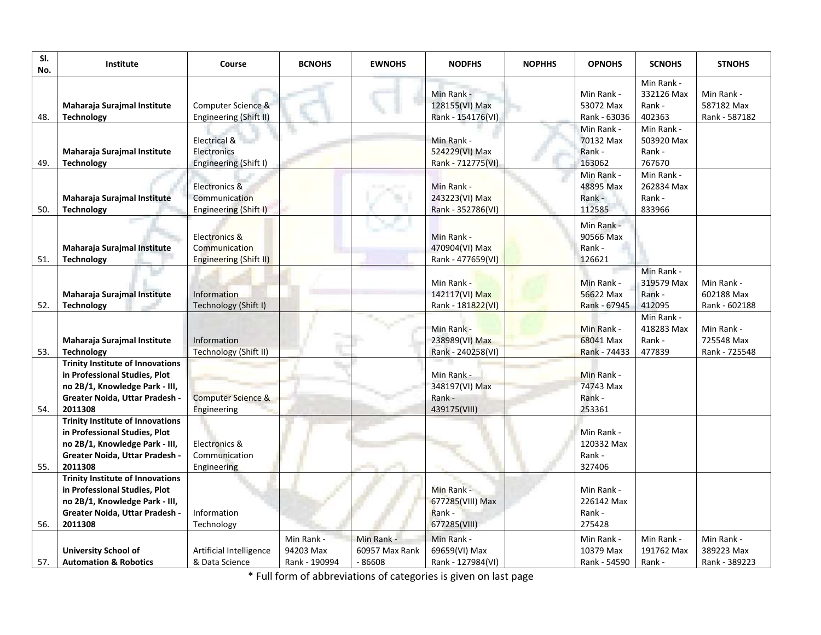| SI.<br>No. | Institute                                                                                                                                               | Course                                                       | <b>BCNOHS</b>                            | <b>EWNOHS</b>                           | <b>NODFHS</b>                                                   | <b>NOPHHS</b> | <b>OPNOHS</b>                                                      | <b>SCNOHS</b>                                                            | <b>STNOHS</b>                             |
|------------|---------------------------------------------------------------------------------------------------------------------------------------------------------|--------------------------------------------------------------|------------------------------------------|-----------------------------------------|-----------------------------------------------------------------|---------------|--------------------------------------------------------------------|--------------------------------------------------------------------------|-------------------------------------------|
| 48.        | Maharaja Surajmal Institute<br><b>Technology</b>                                                                                                        | Computer Science &<br>Engineering (Shift II)<br>Electrical & |                                          |                                         | Min Rank -<br>128155(VI) Max<br>Rank - 154176(VI)<br>Min Rank - |               | Min Rank -<br>53072 Max<br>Rank - 63036<br>Min Rank -<br>70132 Max | Min Rank -<br>332126 Max<br>Rank -<br>402363<br>Min Rank -<br>503920 Max | Min Rank -<br>587182 Max<br>Rank - 587182 |
| 49.        | Maharaja Surajmal Institute<br><b>Technology</b>                                                                                                        | Electronics<br>Engineering (Shift I)                         |                                          |                                         | 524229(VI) Max<br>Rank - 712775(VI)                             |               | Rank -<br>163062                                                   | Rank -<br>767670                                                         |                                           |
| 50.        | Maharaja Surajmal Institute<br><b>Technology</b>                                                                                                        | Electronics &<br>Communication<br>Engineering (Shift I)      |                                          |                                         | Min Rank -<br>243223(VI) Max<br>Rank - 352786(VI)               |               | Min Rank -<br>48895 Max<br>Rank -<br>112585                        | Min Rank -<br>262834 Max<br>Rank -<br>833966                             |                                           |
| 51.        | Maharaja Surajmal Institute<br><b>Technology</b>                                                                                                        | Electronics &<br>Communication<br>Engineering (Shift II)     |                                          |                                         | Min Rank -<br>470904(VI) Max<br>Rank - 477659(VI)               |               | Min Rank -<br>90566 Max<br>Rank -<br>126621                        |                                                                          |                                           |
| 52.        | Maharaja Surajmal Institute<br><b>Technology</b>                                                                                                        | Information<br>Technology (Shift I)                          |                                          |                                         | Min Rank -<br>142117(VI) Max<br>Rank - 181822(VI)               |               | Min Rank -<br>56622 Max<br>Rank - 67945                            | Min Rank -<br>319579 Max<br>Rank -<br>412095                             | Min Rank -<br>602188 Max<br>Rank - 602188 |
| 53.        | Maharaja Surajmal Institute<br><b>Technology</b>                                                                                                        | Information<br><b>Technology (Shift II)</b>                  |                                          |                                         | Min Rank -<br>238989(VI) Max<br>Rank - 240258(VI)               |               | Min Rank -<br>68041 Max<br>Rank - 74433                            | Min Rank -<br>418283 Max<br>Rank -<br>477839                             | Min Rank -<br>725548 Max<br>Rank - 725548 |
| 54.        | <b>Trinity Institute of Innovations</b><br>in Professional Studies, Plot<br>no 2B/1, Knowledge Park - III,<br>Greater Noida, Uttar Pradesh -<br>2011308 | <b>Computer Science &amp;</b><br>Engineering                 |                                          |                                         | Min Rank -<br>348197(VI) Max<br>Rank -<br>439175(VIII)          |               | Min Rank -<br>74743 Max<br>Rank -<br>253361                        |                                                                          |                                           |
| 55.        | <b>Trinity Institute of Innovations</b><br>in Professional Studies, Plot<br>no 2B/1, Knowledge Park - III,<br>Greater Noida, Uttar Pradesh -<br>2011308 | Electronics &<br>Communication<br>Engineering                |                                          |                                         |                                                                 |               | Min Rank -<br>120332 Max<br>Rank -<br>327406                       |                                                                          |                                           |
| 56.        | <b>Trinity Institute of Innovations</b><br>in Professional Studies, Plot<br>no 2B/1, Knowledge Park - III,<br>Greater Noida, Uttar Pradesh -<br>2011308 | Information<br>Technology                                    |                                          |                                         | Min Rank -<br>677285(VIII) Max<br>Rank -<br>677285(VIII)        |               | Min Rank -<br>226142 Max<br>Rank -<br>275428                       |                                                                          |                                           |
| 57.        | <b>University School of</b><br><b>Automation &amp; Robotics</b>                                                                                         | Artificial Intelligence<br>& Data Science                    | Min Rank -<br>94203 Max<br>Rank - 190994 | Min Rank -<br>60957 Max Rank<br>- 86608 | Min Rank -<br>69659(VI) Max<br>Rank - 127984(VI)                |               | Min Rank -<br>10379 Max<br>Rank - 54590                            | Min Rank -<br>191762 Max<br>Rank -                                       | Min Rank -<br>389223 Max<br>Rank - 389223 |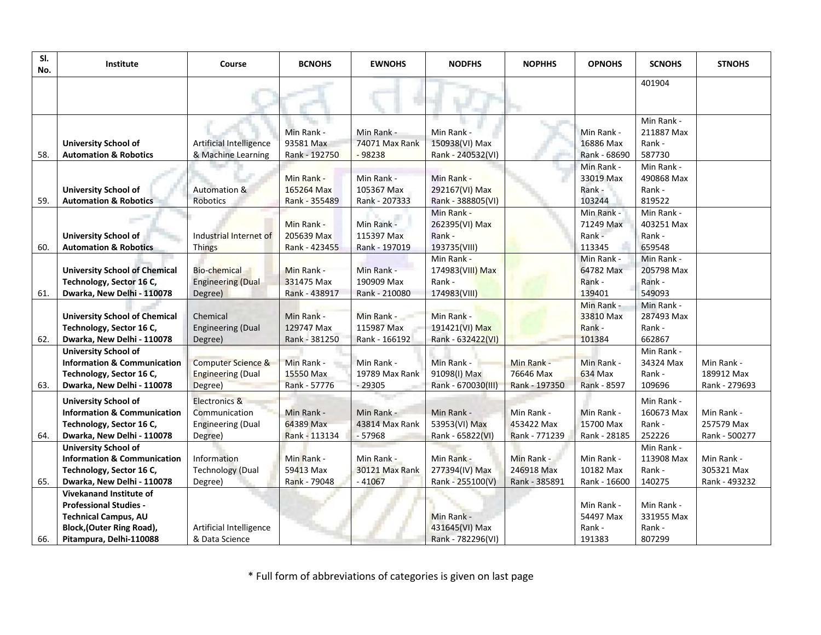| SI.<br>No. | Institute                                                                                                                                                     | Course                                                                | <b>BCNOHS</b>                             | <b>EWNOHS</b>                             | <b>NODFHS</b>                                            | <b>NOPHHS</b>                             | <b>OPNOHS</b>                               | <b>SCNOHS</b>                                | <b>STNOHS</b>                             |
|------------|---------------------------------------------------------------------------------------------------------------------------------------------------------------|-----------------------------------------------------------------------|-------------------------------------------|-------------------------------------------|----------------------------------------------------------|-------------------------------------------|---------------------------------------------|----------------------------------------------|-------------------------------------------|
|            |                                                                                                                                                               |                                                                       |                                           |                                           |                                                          |                                           |                                             | 401904                                       |                                           |
| 58.        | <b>University School of</b><br><b>Automation &amp; Robotics</b>                                                                                               | Artificial Intelligence<br>& Machine Learning                         | Min Rank -<br>93581 Max<br>Rank - 192750  | Min Rank -<br>74071 Max Rank<br>$-98238$  | Min Rank -<br>150938(VI) Max<br>Rank - 240532(VI)        |                                           | Min Rank -<br>16886 Max<br>Rank - 68690     | Min Rank -<br>211887 Max<br>Rank -<br>587730 |                                           |
| 59.        | <b>University School of</b><br><b>Automation &amp; Robotics</b>                                                                                               | Automation &<br>Robotics                                              | Min Rank -<br>165264 Max<br>Rank - 355489 | Min Rank -<br>105367 Max<br>Rank - 207333 | Min Rank -<br>292167(VI) Max<br>Rank - 388805(VI)        |                                           | Min Rank -<br>33019 Max<br>Rank -<br>103244 | Min Rank -<br>490868 Max<br>Rank -<br>819522 |                                           |
| 60.        | <b>University School of</b><br><b>Automation &amp; Robotics</b>                                                                                               | Industrial Internet of<br><b>Things</b>                               | Min Rank -<br>205639 Max<br>Rank - 423455 | Min Rank -<br>115397 Max<br>Rank - 197019 | Min Rank -<br>262395(VI) Max<br>Rank -<br>193735(VIII)   |                                           | Min Rank -<br>71249 Max<br>Rank -<br>113345 | Min Rank -<br>403251 Max<br>Rank -<br>659548 |                                           |
| 61.        | <b>University School of Chemical</b><br>Technology, Sector 16 C,<br>Dwarka, New Delhi - 110078                                                                | <b>Bio-chemical</b><br><b>Engineering (Dual</b><br>Degree)            | Min Rank -<br>331475 Max<br>Rank - 438917 | Min Rank -<br>190909 Max<br>Rank - 210080 | Min Rank -<br>174983(VIII) Max<br>Rank -<br>174983(VIII) |                                           | Min Rank -<br>64782 Max<br>Rank -<br>139401 | Min Rank -<br>205798 Max<br>Rank -<br>549093 |                                           |
| 62.        | <b>University School of Chemical</b><br>Technology, Sector 16 C,<br>Dwarka, New Delhi - 110078                                                                | Chemical<br><b>Engineering (Dual</b><br>Degree)                       | Min Rank -<br>129747 Max<br>Rank - 381250 | Min Rank -<br>115987 Max<br>Rank - 166192 | Min Rank -<br>191421(VI) Max<br>Rank - 632422(VI)        |                                           | Min Rank -<br>33810 Max<br>Rank -<br>101384 | Min Rank -<br>287493 Max<br>Rank -<br>662867 |                                           |
| 63.        | <b>University School of</b><br><b>Information &amp; Communication</b><br>Technology, Sector 16 C,<br>Dwarka, New Delhi - 110078                               | <b>Computer Science &amp;</b><br><b>Engineering (Dual</b><br>Degree)  | Min Rank -<br>15550 Max<br>Rank - 57776   | Min Rank -<br>19789 Max Rank<br>$-29305$  | Min Rank -<br>91098(I) Max<br>Rank - 670030(III)         | Min Rank -<br>76646 Max<br>Rank - 197350  | Min Rank -<br>634 Max<br>Rank - 8597        | Min Rank -<br>34324 Max<br>Rank -<br>109696  | Min Rank -<br>189912 Max<br>Rank - 279693 |
| 64.        | <b>University School of</b><br><b>Information &amp; Communication</b><br>Technology, Sector 16 C,<br>Dwarka, New Delhi - 110078                               | Electronics &<br>Communication<br><b>Engineering (Dual</b><br>Degree) | Min Rank -<br>64389 Max<br>Rank - 113134  | Min Rank -<br>43814 Max Rank<br>$-57968$  | Min Rank -<br>53953(VI) Max<br>Rank - 65822(VI)          | Min Rank -<br>453422 Max<br>Rank - 771239 | Min Rank -<br>15700 Max<br>Rank - 28185     | Min Rank -<br>160673 Max<br>Rank -<br>252226 | Min Rank -<br>257579 Max<br>Rank - 500277 |
| 65.        | <b>University School of</b><br><b>Information &amp; Communication</b><br>Technology, Sector 16 C,<br>Dwarka, New Delhi - 110078                               | Information<br><b>Technology (Dual</b><br>Degree)                     | Min Rank -<br>59413 Max<br>Rank - 79048   | Min Rank -<br>30121 Max Rank<br>$-41067$  | Min Rank -<br>277394(IV) Max<br>Rank - 255100(V)         | Min Rank -<br>246918 Max<br>Rank - 385891 | Min Rank -<br>10182 Max<br>Rank - 16600     | Min Rank -<br>113908 Max<br>Rank -<br>140275 | Min Rank -<br>305321 Max<br>Rank - 493232 |
| 66.        | <b>Vivekanand Institute of</b><br><b>Professional Studies -</b><br><b>Technical Campus, AU</b><br><b>Block, (Outer Ring Road),</b><br>Pitampura, Delhi-110088 | Artificial Intelligence<br>& Data Science                             |                                           |                                           | Min Rank -<br>431645(VI) Max<br>Rank - 782296(VI)        |                                           | Min Rank -<br>54497 Max<br>Rank -<br>191383 | Min Rank -<br>331955 Max<br>Rank -<br>807299 |                                           |